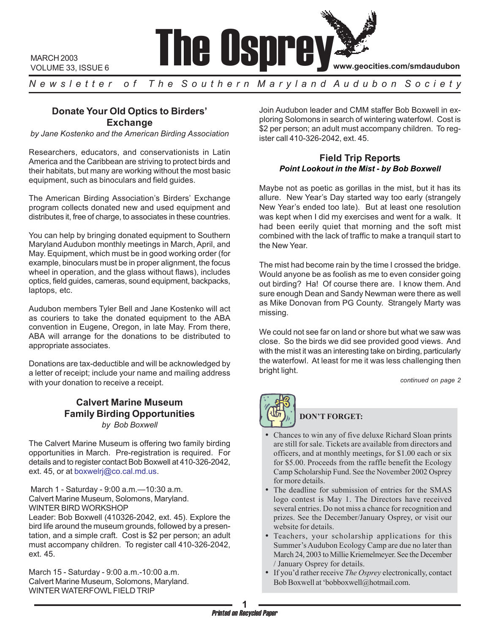

MARCH 2003 VOLUME 33, ISSUE 6

*N e w s l e t t e r o f T h e S o u t h e r n M a r y l a n d A u d u b o n S o c i e t y*

# **Donate Your Old Optics to Birders' Exchange**

*by Jane Kostenko and the American Birding Association*

Researchers, educators, and conservationists in Latin America and the Caribbean are striving to protect birds and their habitats, but many are working without the most basic equipment, such as binoculars and field guides.

The American Birding Association's Birders' Exchange program collects donated new and used equipment and distributes it, free of charge, to associates in these countries.

You can help by bringing donated equipment to Southern Maryland Audubon monthly meetings in March, April, and May. Equipment, which must be in good working order (for example, binoculars must be in proper alignment, the focus wheel in operation, and the glass without flaws), includes optics, field guides, cameras, sound equipment, backpacks, laptops, etc.

Audubon members Tyler Bell and Jane Kostenko will act as couriers to take the donated equipment to the ABA convention in Eugene, Oregon, in late May. From there, ABA will arrange for the donations to be distributed to appropriate associates.

Donations are tax-deductible and will be acknowledged by a letter of receipt; include your name and mailing address with your donation to receive a receipt.

## **Calvert Marine Museum Family Birding Opportunities** *by Bob Boxwell*

The Calvert Marine Museum is offering two family birding opportunities in March. Pre-registration is required. For details and to register contact Bob Boxwell at 410-326-2042, ext. 45, or at boxwelrj@co.cal.md.us.

 March 1 - Saturday - 9:00 a.m.—10:30 a.m. Calvert Marine Museum, Solomons, Maryland. WINTER BIRD WORKSHOP

Leader: Bob Boxwell (410326-2042, ext. 45). Explore the bird life around the museum grounds, followed by a presentation, and a simple craft. Cost is \$2 per person; an adult must accompany children. To register call 410-326-2042, ext. 45.

March 15 - Saturday - 9:00 a.m.-10:00 a.m. Calvert Marine Museum, Solomons, Maryland. WINTER WATERFOWL FIELD TRIP

Join Audubon leader and CMM staffer Bob Boxwell in exploring Solomons in search of wintering waterfowl. Cost is \$2 per person; an adult must accompany children. To register call 410-326-2042, ext. 45.

### **Field Trip Reports** *Point Lookout in the Mist - by Bob Boxwell*

Maybe not as poetic as gorillas in the mist, but it has its allure. New Year's Day started way too early (strangely New Year's ended too late). But at least one resolution was kept when I did my exercises and went for a walk. It had been eerily quiet that morning and the soft mist combined with the lack of traffic to make a tranquil start to the New Year.

The mist had become rain by the time I crossed the bridge. Would anyone be as foolish as me to even consider going out birding? Ha! Of course there are. I know them. And sure enough Dean and Sandy Newman were there as well as Mike Donovan from PG County. Strangely Marty was missing.

We could not see far on land or shore but what we saw was close. So the birds we did see provided good views. And with the mist it was an interesting take on birding, particularly the waterfowl. At least for me it was less challenging then bright light.

*continued on page 2*



# **DON'T FORGET:**

- Chances to win any of five deluxe Richard Sloan prints are still for sale. Tickets are available from directors and officers, and at monthly meetings, for \$1.00 each or six for \$5.00. Proceeds from the raffle benefit the Ecology Camp Scholarship Fund. See the November 2002 Osprey for more details.
- The deadline for submission of entries for the SMAS logo contest is May 1. The Directors have received several entries. Do not miss a chance for recognition and prizes. See the December/January Osprey, or visit our website for details.
- Teachers, your scholarship applications for this Summer's Audubon Ecology Camp are due no later than March 24, 2003 to Millie Kriemelmeyer. See the December / January Osprey for details.
- If you'd rather receive *The Osprey* electronically, contact Bob Boxwell at 'bobboxwell@hotmail.com.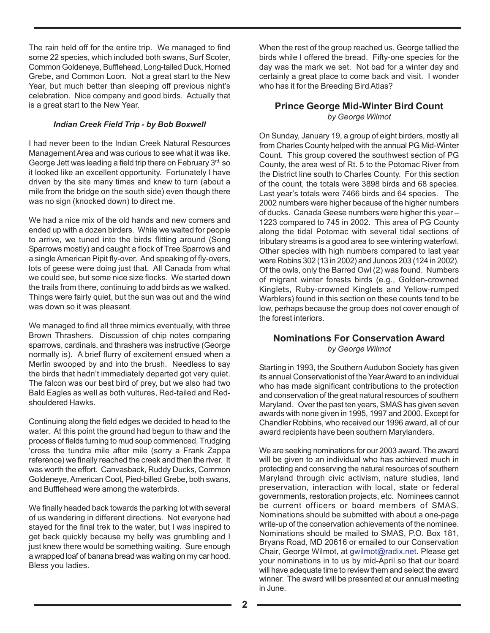The rain held off for the entire trip. We managed to find some 22 species, which included both swans, Surf Scoter, Common Goldeneye, Bufflehead, Long-tailed Duck, Horned Grebe, and Common Loon. Not a great start to the New Year, but much better than sleeping off previous night's celebration. Nice company and good birds. Actually that is a great start to the New Year.

### *Indian Creek Field Trip - by Bob Boxwell*

I had never been to the Indian Creek Natural Resources Management Area and was curious to see what it was like. George Jett was leading a field trip there on February 3rd, so it looked like an excellent opportunity. Fortunately I have driven by the site many times and knew to turn (about a mile from the bridge on the south side) even though there was no sign (knocked down) to direct me.

We had a nice mix of the old hands and new comers and ended up with a dozen birders. While we waited for people to arrive, we tuned into the birds flitting around (Song Sparrows mostly) and caught a flock of Tree Sparrows and a single American Pipit fly-over. And speaking of fly-overs, lots of geese were doing just that. All Canada from what we could see, but some nice size flocks. We started down the trails from there, continuing to add birds as we walked. Things were fairly quiet, but the sun was out and the wind was down so it was pleasant.

We managed to find all three mimics eventually, with three Brown Thrashers. Discussion of chip notes comparing sparrows, cardinals, and thrashers was instructive (George normally is). A brief flurry of excitement ensued when a Merlin swooped by and into the brush. Needless to say the birds that hadn't immediately departed got very quiet. The falcon was our best bird of prey, but we also had two Bald Eagles as well as both vultures, Red-tailed and Redshouldered Hawks.

Continuing along the field edges we decided to head to the water. At this point the ground had begun to thaw and the process of fields turning to mud soup commenced. Trudging 'cross the tundra mile after mile (sorry a Frank Zappa reference) we finally reached the creek and then the river. It was worth the effort. Canvasback, Ruddy Ducks, Common Goldeneye, American Coot, Pied-billed Grebe, both swans, and Bufflehead were among the waterbirds.

We finally headed back towards the parking lot with several of us wandering in different directions. Not everyone had stayed for the final trek to the water, but I was inspired to get back quickly because my belly was grumbling and I just knew there would be something waiting. Sure enough a wrapped loaf of banana bread was waiting on my car hood. Bless you ladies.

When the rest of the group reached us, George tallied the birds while I offered the bread. Fifty-one species for the day was the mark we set. Not bad for a winter day and certainly a great place to come back and visit. I wonder who has it for the Breeding Bird Atlas?

### **Prince George Mid-Winter Bird Count** *by George Wilmot*

On Sunday, January 19, a group of eight birders, mostly all from Charles County helped with the annual PG Mid-Winter Count. This group covered the southwest section of PG County, the area west of Rt. 5 to the Potomac River from the District line south to Charles County. For this section of the count, the totals were 3898 birds and 68 species. Last year's totals were 7466 birds and 64 species. The 2002 numbers were higher because of the higher numbers of ducks. Canada Geese numbers were higher this year – 1223 compared to 745 in 2002. This area of PG County along the tidal Potomac with several tidal sections of tributary streams is a good area to see wintering waterfowl. Other species with high numbers compared to last year were Robins 302 (13 in 2002) and Juncos 203 (124 in 2002). Of the owls, only the Barred Owl (2) was found. Numbers of migrant winter forests birds (e.g., Golden-crowned Kinglets, Ruby-crowned Kinglets and Yellow-rumped Warblers) found in this section on these counts tend to be low, perhaps because the group does not cover enough of the forest interiors.

## **Nominations For Conservation Award** *by George Wilmot*

Starting in 1993, the Southern Audubon Society has given its annual Conservationist of the Year Award to an individual who has made significant contributions to the protection and conservation of the great natural resources of southern Maryland. Over the past ten years, SMAS has given seven awards with none given in 1995, 1997 and 2000. Except for Chandler Robbins, who received our 1996 award, all of our award recipients have been southern Marylanders.

We are seeking nominations for our 2003 award. The award will be given to an individual who has achieved much in protecting and conserving the natural resources of southern Maryland through civic activism, nature studies, land preservation, interaction with local, state or federal governments, restoration projects, etc. Nominees cannot be current officers or board members of SMAS. Nominations should be submitted with about a one-page write-up of the conservation achievements of the nominee. Nominations should be mailed to SMAS, P.O. Box 181, Bryans Road, MD 20616 or emailed to our Conservation Chair, George Wilmot, at gwilmot@radix.net. Please get your nominations in to us by mid-April so that our board will have adequate time to review them and select the award winner. The award will be presented at our annual meeting in June.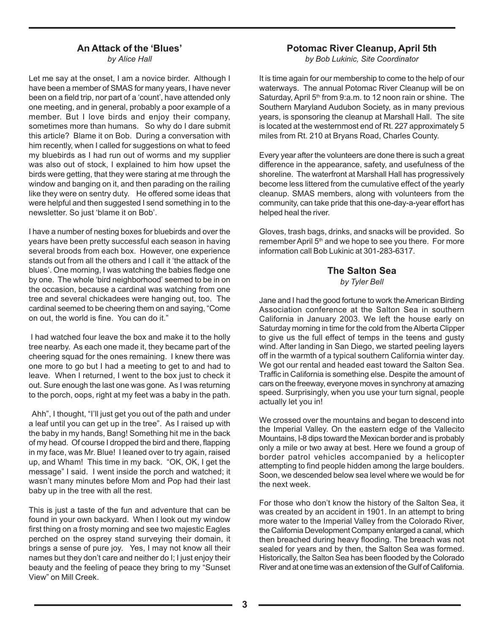### **An Attack of the 'Blues'** *by Alice Hall*

Let me say at the onset, I am a novice birder. Although I have been a member of SMAS for many years, I have never been on a field trip, nor part of a 'count', have attended only one meeting, and in general, probably a poor example of a member. But I love birds and enjoy their company, sometimes more than humans. So why do I dare submit this article? Blame it on Bob. During a conversation with him recently, when I called for suggestions on what to feed my bluebirds as I had run out of worms and my supplier was also out of stock, I explained to him how upset the birds were getting, that they were staring at me through the window and banging on it, and then parading on the railing like they were on sentry duty. He offered some ideas that were helpful and then suggested I send something in to the newsletter. So just 'blame it on Bob'.

I have a number of nesting boxes for bluebirds and over the years have been pretty successful each season in having several broods from each box. However, one experience stands out from all the others and I call it 'the attack of the blues'. One morning, I was watching the babies fledge one by one. The whole 'bird neighborhood' seemed to be in on the occasion, because a cardinal was watching from one tree and several chickadees were hanging out, too. The cardinal seemed to be cheering them on and saying, "Come on out, the world is fine. You can do it."

 I had watched four leave the box and make it to the holly tree nearby. As each one made it, they became part of the cheering squad for the ones remaining. I knew there was one more to go but I had a meeting to get to and had to leave. When I returned, I went to the box just to check it out. Sure enough the last one was gone. As I was returning to the porch, oops, right at my feet was a baby in the path.

 Ahh", I thought, "I'll just get you out of the path and under a leaf until you can get up in the tree". As I raised up with the baby in my hands, Bang! Something hit me in the back of my head. Of course I dropped the bird and there, flapping in my face, was Mr. Blue! I leaned over to try again, raised up, and Wham! This time in my back. "OK, OK, I get the message" I said. I went inside the porch and watched; it wasn't many minutes before Mom and Pop had their last baby up in the tree with all the rest.

This is just a taste of the fun and adventure that can be found in your own backyard. When I look out my window first thing on a frosty morning and see two majestic Eagles perched on the osprey stand surveying their domain, it brings a sense of pure joy. Yes, I may not know all their names but they don't care and neither do I; I just enjoy their beauty and the feeling of peace they bring to my "Sunset View" on Mill Creek.

## **Potomac River Cleanup, April 5th**

*by Bob Lukinic, Site Coordinator*

It is time again for our membership to come to the help of our waterways. The annual Potomac River Cleanup will be on Saturday, April 5<sup>th</sup> from 9:a.m. to 12 noon rain or shine. The Southern Maryland Audubon Society, as in many previous years, is sponsoring the cleanup at Marshall Hall. The site is located at the westernmost end of Rt. 227 approximately 5 miles from Rt. 210 at Bryans Road, Charles County.

Every year after the volunteers are done there is such a great difference in the appearance, safety, and usefulness of the shoreline. The waterfront at Marshall Hall has progressively become less littered from the cumulative effect of the yearly cleanup. SMAS members, along with volunteers from the community, can take pride that this one-day-a-year effort has helped heal the river.

Gloves, trash bags, drinks, and snacks will be provided. So remember April 5<sup>th</sup> and we hope to see you there. For more information call Bob Lukinic at 301-283-6317.

# **The Salton Sea**

*by Tyler Bell*

Jane and I had the good fortune to work the American Birding Association conference at the Salton Sea in southern California in January 2003. We left the house early on Saturday morning in time for the cold from the Alberta Clipper to give us the full effect of temps in the teens and gusty wind. After landing in San Diego, we started peeling layers off in the warmth of a typical southern California winter day. We got our rental and headed east toward the Salton Sea. Traffic in California is something else. Despite the amount of cars on the freeway, everyone moves in synchrony at amazing speed. Surprisingly, when you use your turn signal, people actually let you in!

We crossed over the mountains and began to descend into the Imperial Valley. On the eastern edge of the Vallecito Mountains, I-8 dips toward the Mexican border and is probably only a mile or two away at best. Here we found a group of border patrol vehicles accompanied by a helicopter attempting to find people hidden among the large boulders. Soon, we descended below sea level where we would be for the next week.

For those who don't know the history of the Salton Sea, it was created by an accident in 1901. In an attempt to bring more water to the Imperial Valley from the Colorado River, the California Development Company enlarged a canal, which then breached during heavy flooding. The breach was not sealed for years and by then, the Salton Sea was formed. Historically, the Salton Sea has been flooded by the Colorado River and at one time was an extension of the Gulf of California.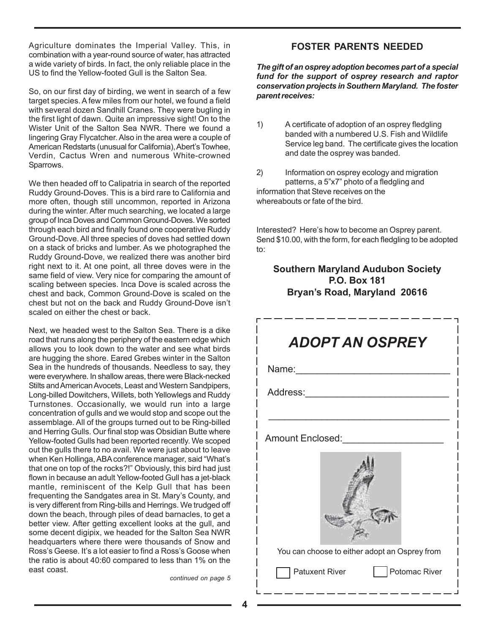Agriculture dominates the Imperial Valley. This, in combination with a year-round source of water, has attracted a wide variety of birds. In fact, the only reliable place in the US to find the Yellow-footed Gull is the Salton Sea.

So, on our first day of birding, we went in search of a few target species. A few miles from our hotel, we found a field with several dozen Sandhill Cranes. They were bugling in the first light of dawn. Quite an impressive sight! On to the Wister Unit of the Salton Sea NWR. There we found a lingering Gray Flycatcher. Also in the area were a couple of American Redstarts (unusual for California), Abert's Towhee, Verdin, Cactus Wren and numerous White-crowned Sparrows.

We then headed off to Calipatria in search of the reported Ruddy Ground-Doves. This is a bird rare to California and more often, though still uncommon, reported in Arizona during the winter. After much searching, we located a large group of Inca Doves and Common Ground-Doves. We sorted through each bird and finally found one cooperative Ruddy Ground-Dove. All three species of doves had settled down on a stack of bricks and lumber. As we photographed the Ruddy Ground-Dove, we realized there was another bird right next to it. At one point, all three doves were in the same field of view. Very nice for comparing the amount of scaling between species. Inca Dove is scaled across the chest and back, Common Ground-Dove is scaled on the chest but not on the back and Ruddy Ground-Dove isn't scaled on either the chest or back.

Next, we headed west to the Salton Sea. There is a dike road that runs along the periphery of the eastern edge which allows you to look down to the water and see what birds are hugging the shore. Eared Grebes winter in the Salton Sea in the hundreds of thousands. Needless to say, they were everywhere. In shallow areas, there were Black-necked Stilts and American Avocets, Least and Western Sandpipers, Long-billed Dowitchers, Willets, both Yellowlegs and Ruddy Turnstones. Occasionally, we would run into a large concentration of gulls and we would stop and scope out the assemblage. All of the groups turned out to be Ring-billed and Herring Gulls. Our final stop was Obsidian Butte where Yellow-footed Gulls had been reported recently. We scoped out the gulls there to no avail. We were just about to leave when Ken Hollinga, ABA conference manager, said "What's that one on top of the rocks?!" Obviously, this bird had just flown in because an adult Yellow-footed Gull has a jet-black mantle, reminiscent of the Kelp Gull that has been frequenting the Sandgates area in St. Mary's County, and is very different from Ring-bills and Herrings. We trudged off down the beach, through piles of dead barnacles, to get a better view. After getting excellent looks at the gull, and some decent digipix, we headed for the Salton Sea NWR headquarters where there were thousands of Snow and Ross's Geese. It's a lot easier to find a Ross's Goose when the ratio is about 40:60 compared to less than 1% on the east coast.

*continued on page 5*

### **FOSTER PARENTS NEEDED**

*The gift of an osprey adoption becomes part of a special fund for the support of osprey research and raptor conservation projects in Southern Maryland. The foster parent receives:*

1) A certificate of adoption of an osprey fledgling banded with a numbered U.S. Fish and Wildlife Service leg band. The certificate gives the location and date the osprey was banded.

2) Information on osprey ecology and migration patterns, a 5"x7" photo of a fledgling and information that Steve receives on the whereabouts or fate of the bird.

Interested? Here's how to become an Osprey parent. Send \$10.00, with the form, for each fledgling to be adopted to:

## **Southern Maryland Audubon Society P.O. Box 181 Bryan's Road, Maryland 20616**

| <b>ADOPT AN OSPREY</b>                        |  |  |  |  |  |
|-----------------------------------------------|--|--|--|--|--|
|                                               |  |  |  |  |  |
| Address: _______________                      |  |  |  |  |  |
|                                               |  |  |  |  |  |
| Amount Enclosed:                              |  |  |  |  |  |
|                                               |  |  |  |  |  |
| You can choose to either adopt an Osprey from |  |  |  |  |  |
| <b>Patuxent River</b><br>  Potomac River      |  |  |  |  |  |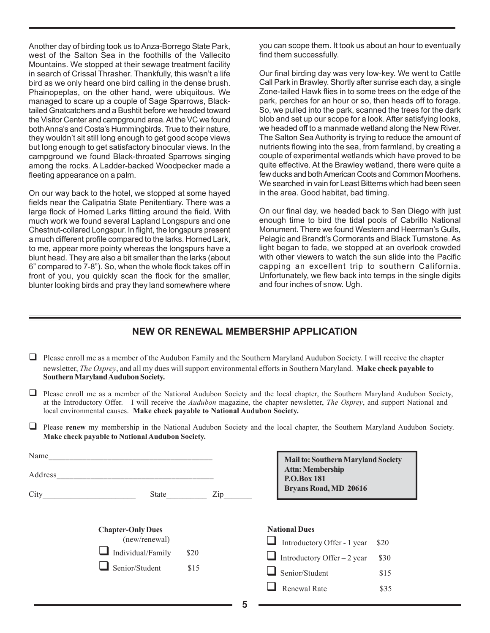Another day of birding took us to Anza-Borrego State Park, west of the Salton Sea in the foothills of the Vallecito Mountains. We stopped at their sewage treatment facility in search of Crissal Thrasher. Thankfully, this wasn't a life bird as we only heard one bird calling in the dense brush. Phainopeplas, on the other hand, were ubiquitous. We managed to scare up a couple of Sage Sparrows, Blacktailed Gnatcatchers and a Bushtit before we headed toward the Visitor Center and campground area. At the VC we found both Anna's and Costa's Hummingbirds. True to their nature, they wouldn't sit still long enough to get good scope views but long enough to get satisfactory binocular views. In the campground we found Black-throated Sparrows singing among the rocks. A Ladder-backed Woodpecker made a fleeting appearance on a palm.

On our way back to the hotel, we stopped at some hayed fields near the Calipatria State Penitentiary. There was a large flock of Horned Larks flitting around the field. With much work we found several Lapland Longspurs and one Chestnut-collared Longspur. In flight, the longspurs present a much different profile compared to the larks. Horned Lark, to me, appear more pointy whereas the longspurs have a blunt head. They are also a bit smaller than the larks (about 6" compared to 7-8"). So, when the whole flock takes off in front of you, you quickly scan the flock for the smaller, blunter looking birds and pray they land somewhere where

you can scope them. It took us about an hour to eventually find them successfully.

Our final birding day was very low-key. We went to Cattle Call Park in Brawley. Shortly after sunrise each day, a single Zone-tailed Hawk flies in to some trees on the edge of the park, perches for an hour or so, then heads off to forage. So, we pulled into the park, scanned the trees for the dark blob and set up our scope for a look. After satisfying looks, we headed off to a manmade wetland along the New River. The Salton Sea Authority is trying to reduce the amount of nutrients flowing into the sea, from farmland, by creating a couple of experimental wetlands which have proved to be quite effective. At the Brawley wetland, there were quite a few ducks and both American Coots and Common Moorhens. We searched in vain for Least Bitterns which had been seen in the area. Good habitat, bad timing.

On our final day, we headed back to San Diego with just enough time to bird the tidal pools of Cabrillo National Monument. There we found Western and Heerman's Gulls, Pelagic and Brandt's Cormorants and Black Turnstone. As light began to fade, we stopped at an overlook crowded with other viewers to watch the sun slide into the Pacific capping an excellent trip to southern California. Unfortunately, we flew back into temps in the single digits and four inches of snow. Ugh.

# **NEW OR RENEWAL MEMBERSHIP APPLICATION**

- $\Box$  Please enroll me as a member of the Audubon Family and the Southern Maryland Audubon Society. I will receive the chapter newsletter, *The Osprey*, and all my dues will support environmental efforts in Southern Maryland. **Make check payable to Southern Maryland Audubon Society.**
- $\Box$  Please enroll me as a member of the National Audubon Society and the local chapter, the Southern Maryland Audubon Society, at the Introductory Offer.I will receive the *Audubon* magazine, the chapter newsletter, *The Osprey*, and support National and local environmental causes. **Make check payable to National Audubon Society.**
- **Please renew** my membership in the National Audubon Society and the local chapter, the Southern Maryland Audubon Society. **Make check payable to National Audubon Society.**

| Name<br>Address<br>City<br>State |                                                                                  |      | <b>Mail to: Southern Maryland Society</b><br><b>Attn: Membership</b><br>P.O.Box 181<br>Bryans Road, MD 20616<br>Zip |                                             |
|----------------------------------|----------------------------------------------------------------------------------|------|---------------------------------------------------------------------------------------------------------------------|---------------------------------------------|
|                                  | <b>Chapter-Only Dues</b><br>(new/renewal)<br>Individual/Family<br>Senior/Student | \$20 | <b>National Dues</b><br>$\Box$ Introductory Offer – 2 year                                                          | Introductory Offer - 1 year<br>\$20<br>\$30 |
|                                  |                                                                                  | \$15 | Senior/Student                                                                                                      | \$15                                        |
|                                  |                                                                                  |      | <b>Renewal Rate</b>                                                                                                 | \$35                                        |